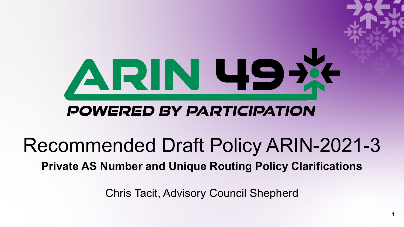

#### **POWERED BY PARTICIPATION**

#### Recommended Draft Policy ARIN-2021-3 **Private AS Number and Unique Routing Policy Clarifications**

Chris Tacit, Advisory Council Shepherd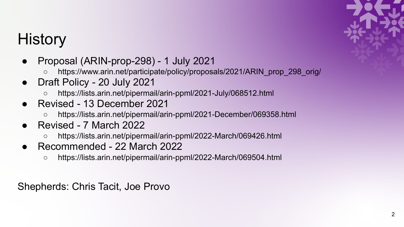# **History**

- Proposal (ARIN-prop-298) 1 July 2021
	- https://www.arin.net/participate/policy/proposals/2021/ARIN\_prop\_298\_orig/
- Draft Policy 20 July 2021
	- https://lists.arin.net/pipermail/arin-ppml/2021-July/068512.html
- Revised 13 December 2021
	- https://lists.arin.net/pipermail/arin-ppml/2021-December/069358.html
- Revised 7 March 2022
	- https://lists.arin.net/pipermail/arin-ppml/2022-March/069426.html
- Recommended 22 March 2022
	- https://lists.arin.net/pipermail/arin-ppml/2022-March/069504.html

Shepherds: Chris Tacit, Joe Provo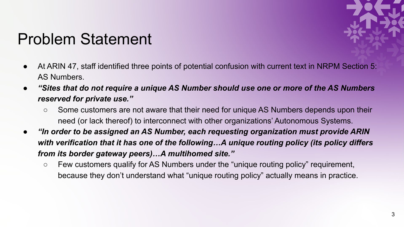

#### Problem Statement

- At ARIN 47, staff identified three points of potential confusion with current text in NRPM Section 5: AS Numbers.
- **"Sites that do not require a unique AS Number should use one or more of the AS Numbers** *reserved for private use."* 
	- Some customers are not aware that their need for unique AS Numbers depends upon their need (or lack thereof) to interconnect with other organizations' Autonomous Systems.
- *● "In order to be assigned an AS Number, each requesting organization must provide ARIN with verification that it has one of the following…A unique routing policy (its policy differs from its border gateway peers)…A multihomed site."* 
	- *○* Few customers qualify for AS Numbers under the "unique routing policy" requirement, because they don't understand what "unique routing policy" actually means in practice.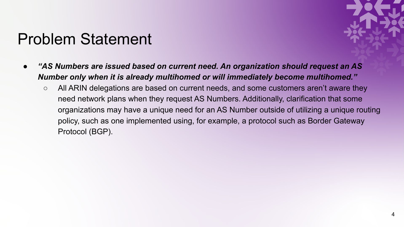#### Problem Statement



- *"AS Numbers are issued based on current need. An organization should request an AS Number only when it is already multihomed or will immediately become multihomed."* 
	- All ARIN delegations are based on current needs, and some customers aren't aware they need network plans when they request AS Numbers. Additionally, clarification that some organizations may have a unique need for an AS Number outside of utilizing a unique routing policy, such as one implemented using, for example, a protocol such as Border Gateway Protocol (BGP).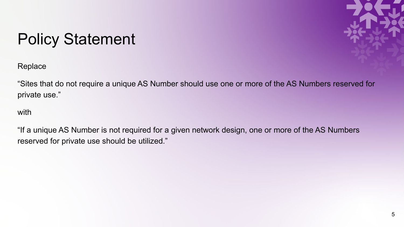# Policy Statement



**Replace** 

"Sites that do not require a unique AS Number should use one or more of the AS Numbers reserved for private use."

with

"If a unique AS Number is not required for a given network design, one or more of the AS Numbers reserved for private use should be utilized."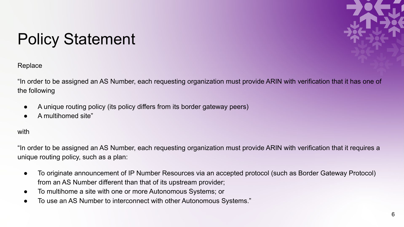

# Policy Statement

Replace

"In order to be assigned an AS Number, each requesting organization must provide ARIN with verification that it has one of the following

- A unique routing policy (its policy differs from its border gateway peers)
- A multihomed site"

#### with

"In order to be assigned an AS Number, each requesting organization must provide ARIN with verification that it requires a unique routing policy, such as a plan:

- To originate announcement of IP Number Resources via an accepted protocol (such as Border Gateway Protocol) from an AS Number different than that of its upstream provider;
- To multihome a site with one or more Autonomous Systems; or
- To use an AS Number to interconnect with other Autonomous Systems."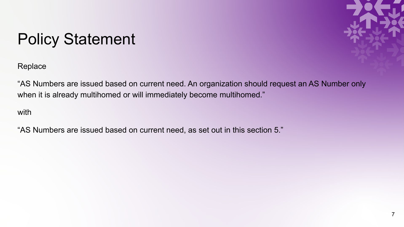# Policy Statement

**Replace** 



with

"AS Numbers are issued based on current need, as set out in this section 5."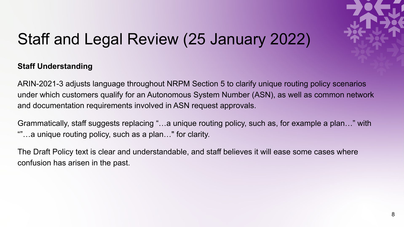

### Staff and Legal Review (25 January 2022)

#### **Staff Understanding**

ARIN-2021-3 adjusts language throughout NRPM Section 5 to clarify unique routing policy scenarios under which customers qualify for an Autonomous System Number (ASN), as well as common network and documentation requirements involved in ASN request approvals.

Grammatically, staff suggests replacing "…a unique routing policy, such as, for example a plan…" with ""…a unique routing policy, such as a plan…" for clarity.

The Draft Policy text is clear and understandable, and staff believes it will ease some cases where confusion has arisen in the past.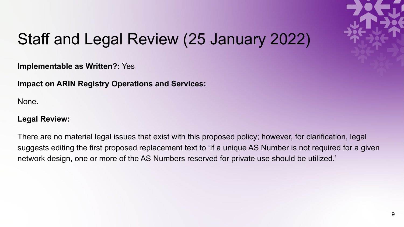

### Staff and Legal Review (25 January 2022)

**Implementable as Written?:** Yes

**Impact on ARIN Registry Operations and Services:**

None.

#### **Legal Review:**

There are no material legal issues that exist with this proposed policy; however, for clarification, legal suggests editing the first proposed replacement text to 'If a unique AS Number is not required for a given network design, one or more of the AS Numbers reserved for private use should be utilized.'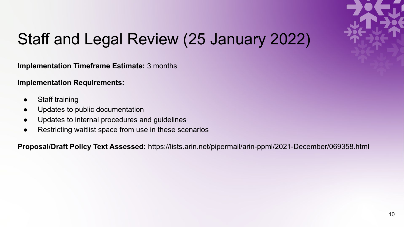

# Staff and Legal Review (25 January 2022)

**Implementation Timeframe Estimate:** 3 months

**Implementation Requirements:**

- Staff training
- Updates to public documentation
- Updates to internal procedures and guidelines
- Restricting waitlist space from use in these scenarios

**Proposal/Draft Policy Text Assessed:** https://lists.arin.net/pipermail/arin-ppml/2021-December/069358.html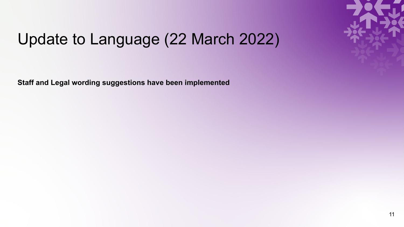

#### Update to Language (22 March 2022)

**Staff and Legal wording suggestions have been implemented**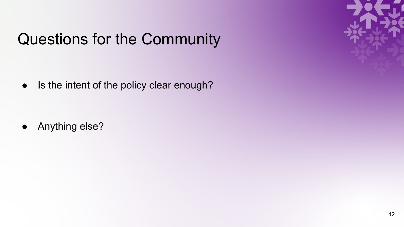# Questions for the Community

• Is the intent of the policy clear enough?

● Anything else?